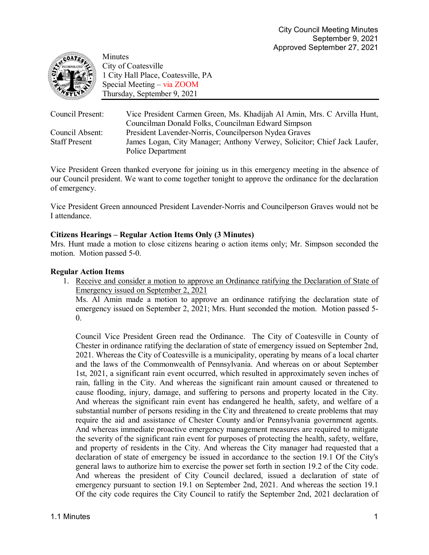

Minutes City of Coatesville 1 City Hall Place, Coatesville, PA Special Meeting – via ZOOM Thursday, September 9, 2021

| Council Present:     | Vice President Carmen Green, Ms. Khadijah Al Amin, Mrs. C Arvilla Hunt,  |
|----------------------|--------------------------------------------------------------------------|
|                      | Councilman Donald Folks, Councilman Edward Simpson                       |
| Council Absent:      | President Lavender-Norris, Council person Nydea Graves                   |
| <b>Staff Present</b> | James Logan, City Manager; Anthony Verwey, Solicitor; Chief Jack Laufer, |
|                      | Police Department                                                        |

Vice President Green thanked everyone for joining us in this emergency meeting in the absence of our Council president. We want to come together tonight to approve the ordinance for the declaration of emergency.

Vice President Green announced President Lavender-Norris and Councilperson Graves would not be I attendance.

## **Citizens Hearings – Regular Action Items Only (3 Minutes)**

Mrs. Hunt made a motion to close citizens hearing o action items only; Mr. Simpson seconded the motion. Motion passed 5-0.

## **Regular Action Items**

1. Receive and consider a motion to approve an Ordinance ratifying the Declaration of State of Emergency issued on September 2, 2021

Ms. Al Amin made a motion to approve an ordinance ratifying the declaration state of emergency issued on September 2, 2021; Mrs. Hunt seconded the motion. Motion passed 5-  $\theta$ .

Council Vice President Green read the Ordinance. The City of Coatesville in County of Chester in ordinance ratifying the declaration of state of emergency issued on September 2nd, 2021. Whereas the City of Coatesville is a municipality, operating by means of a local charter and the laws of the Commonwealth of Pennsylvania. And whereas on or about September 1st, 2021, a significant rain event occurred, which resulted in approximately seven inches of rain, falling in the City. And whereas the significant rain amount caused or threatened to cause flooding, injury, damage, and suffering to persons and property located in the City. And whereas the significant rain event has endangered he health, safety, and welfare of a substantial number of persons residing in the City and threatened to create problems that may require the aid and assistance of Chester County and/or Pennsylvania government agents. And whereas immediate proactive emergency management measures are required to mitigate the severity of the significant rain event for purposes of protecting the health, safety, welfare, and property of residents in the City. And whereas the City manager had requested that a declaration of state of emergency be issued in accordance to the section 19.1 Of the City's general laws to authorize him to exercise the power set forth in section 19.2 of the City code. And whereas the president of City Council declared, issued a declaration of state of emergency pursuant to section 19.1 on September 2nd, 2021. And whereas the section 19.1 Of the city code requires the City Council to ratify the September 2nd, 2021 declaration of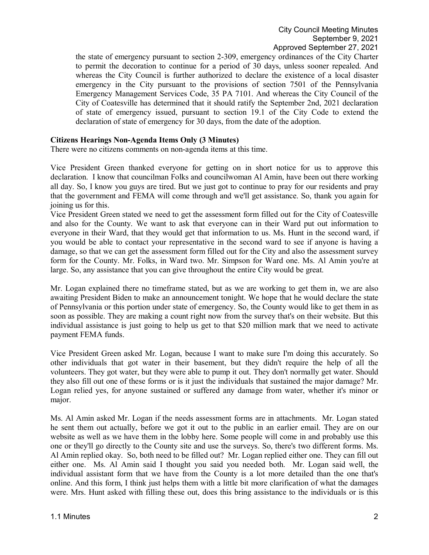the state of emergency pursuant to section 2-309, emergency ordinances of the City Charter to permit the decoration to continue for a period of 30 days, unless sooner repealed. And whereas the City Council is further authorized to declare the existence of a local disaster emergency in the City pursuant to the provisions of section 7501 of the Pennsylvania Emergency Management Services Code, 35 PA 7101. And whereas the City Council of the City of Coatesville has determined that it should ratify the September 2nd, 2021 declaration of state of emergency issued, pursuant to section 19.1 of the City Code to extend the declaration of state of emergency for 30 days, from the date of the adoption.

## **Citizens Hearings Non-Agenda Items Only (3 Minutes)**

There were no citizens comments on non-agenda items at this time.

Vice President Green thanked everyone for getting on in short notice for us to approve this declaration. I know that councilman Folks and councilwoman Al Amin, have been out there working all day. So, I know you guys are tired. But we just got to continue to pray for our residents and pray that the government and FEMA will come through and we'll get assistance. So, thank you again for joining us for this.

Vice President Green stated we need to get the assessment form filled out for the City of Coatesville and also for the County. We want to ask that everyone can in their Ward put out information to everyone in their Ward, that they would get that information to us. Ms. Hunt in the second ward, if you would be able to contact your representative in the second ward to see if anyone is having a damage, so that we can get the assessment form filled out for the City and also the assessment survey form for the County. Mr. Folks, in Ward two. Mr. Simpson for Ward one. Ms. Al Amin you're at large. So, any assistance that you can give throughout the entire City would be great.

Mr. Logan explained there no timeframe stated, but as we are working to get them in, we are also awaiting President Biden to make an announcement tonight. We hope that he would declare the state of Pennsylvania or this portion under state of emergency. So, the County would like to get them in as soon as possible. They are making a count right now from the survey that's on their website. But this individual assistance is just going to help us get to that \$20 million mark that we need to activate payment FEMA funds.

Vice President Green asked Mr. Logan, because I want to make sure I'm doing this accurately. So other individuals that got water in their basement, but they didn't require the help of all the volunteers. They got water, but they were able to pump it out. They don't normally get water. Should they also fill out one of these forms or is it just the individuals that sustained the major damage? Mr. Logan relied yes, for anyone sustained or suffered any damage from water, whether it's minor or major.

Ms. Al Amin asked Mr. Logan if the needs assessment forms are in attachments. Mr. Logan stated he sent them out actually, before we got it out to the public in an earlier email. They are on our website as well as we have them in the lobby here. Some people will come in and probably use this one or they'll go directly to the County site and use the surveys. So, there's two different forms. Ms. Al Amin replied okay. So, both need to be filled out? Mr. Logan replied either one. They can fill out either one. Ms. Al Amin said I thought you said you needed both. Mr. Logan said well, the individual assistant form that we have from the County is a lot more detailed than the one that's online. And this form, I think just helps them with a little bit more clarification of what the damages were. Mrs. Hunt asked with filling these out, does this bring assistance to the individuals or is this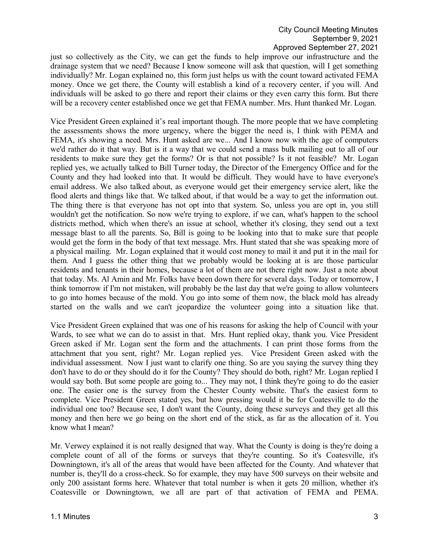just so collectively as the City, we can get the funds to help improve our infrastructure and the drainage system that we need? Because I know someone will ask that question, will I get something individually? Mr. Logan explained no, this form just helps us with the count toward activated FEMA money. Once we get there, the County will establish a kind of a recovery center, if you will. And individuals will be asked to go there and report their claims or they even carry this form. But there will be a recovery center established once we get that FEMA number. Mrs. Hunt thanked Mr. Logan.

Vice President Green explained it's real important though. The more people that we have completing the assessments shows the more urgency, where the bigger the need is, I think with PEMA and FEMA, it's showing a need. Mrs. Hunt asked are we... And I know now with the age of computers we'd rather do it that way. But is it a way that we could send a mass bulk mailing out to all of our residents to make sure they get the forms? Or is that not possible? Is it not feasible? Mr. Logan replied yes, we actually talked to Bill Turner today, the Director of the Emergency Office and for the County and they had looked into that. It would be difficult. They would have to have everyone's email address. We also talked about, as everyone would get their emergency service alert, like the flood alerts and things like that. We talked about, if that would be a way to get the information out. The thing there is that everyone has not opt into that system. So, unless you are opt in, you still wouldn't get the notification. So now we're trying to explore, if we can, what's happen to the school districts method, which when there's an issue at school, whether it's closing, they send out a text message blast to all the parents. So, Bill is going to be looking into that to make sure that people would get the form in the body of that text message. Mrs. Hunt stated that she was speaking more of a physical mailing. Mr. Logan explained that it would cost money to mail it and put it in the mail for them. And I guess the other thing that we probably would be looking at is are those particular residents and tenants in their homes, because a lot of them are not there right now. Just a note about that today. Ms. Al Amin and Mr. Folks have been down there for several days. Today or tomorrow, I think tomorrow if I'm not mistaken, will probably be the last day that we're going to allow volunteers to go into homes because of the mold. You go into some of them now, the black mold has already started on the walls and we can't jeopardize the volunteer going into a situation like that.

Vice President Green explained that was one of his reasons for asking the help of Council with your Wards, to see what we can do to assist in that. Mrs. Hunt replied okay, thank you. Vice President Green asked if Mr. Logan sent the form and the attachments. I can print those forms from the attachment that you sent, right? Mr. Logan replied yes. Vice President Green asked with the individual assessment. Now I just want to clarify one thing. So are you saying the survey thing they don't have to do or they should do it for the County? They should do both, right? Mr. Logan replied I would say both. But some people are going to... They may not, I think they're going to do the easier one. The easier one is the survey from the Chester County website. That's the easiest form to complete. Vice President Green stated yes, but how pressing would it be for Coatesville to do the individual one too? Because see, I don't want the County, doing these surveys and they get all this money and then here we go being on the short end of the stick, as far as the allocation of it. You know what I mean?

Mr. Verwey explained it is not really designed that way. What the County is doing is they're doing a complete count of all of the forms or surveys that they're counting. So it's Coatesville, it's Downingtown, it's all of the areas that would have been affected for the County. And whatever that number is, they'll do a cross-check. So for example, they may have 500 surveys on their website and only 200 assistant forms here. Whatever that total number is when it gets 20 million, whether it's Coatesville or Downingtown, we all are part of that activation of FEMA and PEMA.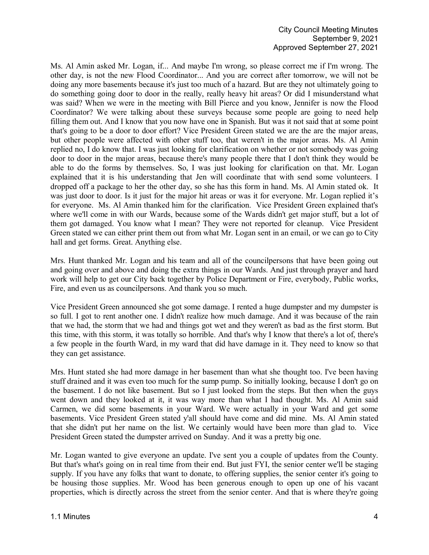Ms. Al Amin asked Mr. Logan, if... And maybe I'm wrong, so please correct me if I'm wrong. The other day, is not the new Flood Coordinator... And you are correct after tomorrow, we will not be doing any more basements because it's just too much of a hazard. But are they not ultimately going to do something going door to door in the really, really heavy hit areas? Or did I misunderstand what was said? When we were in the meeting with Bill Pierce and you know, Jennifer is now the Flood Coordinator? We were talking about these surveys because some people are going to need help filling them out. And I know that you now have one in Spanish. But was it not said that at some point that's going to be a door to door effort? Vice President Green stated we are the are the major areas, but other people were affected with other stuff too, that weren't in the major areas. Ms. Al Amin replied no, I do know that. I was just looking for clarification on whether or not somebody was going door to door in the major areas, because there's many people there that I don't think they would be able to do the forms by themselves. So, I was just looking for clarification on that. Mr. Logan explained that it is his understanding that Jen will coordinate that with send some volunteers. I dropped off a package to her the other day, so she has this form in hand. Ms. Al Amin stated ok. It was just door to door. Is it just for the major hit areas or was it for everyone. Mr. Logan replied it's for everyone. Ms. Al Amin thanked him for the clarification. Vice President Green explained that's where we'll come in with our Wards, because some of the Wards didn't get major stuff, but a lot of them got damaged. You know what I mean? They were not reported for cleanup. Vice President Green stated we can either print them out from what Mr. Logan sent in an email, or we can go to City hall and get forms. Great. Anything else.

Mrs. Hunt thanked Mr. Logan and his team and all of the councilpersons that have been going out and going over and above and doing the extra things in our Wards. And just through prayer and hard work will help to get our City back together by Police Department or Fire, everybody, Public works, Fire, and even us as councilpersons. And thank you so much.

Vice President Green announced she got some damage. I rented a huge dumpster and my dumpster is so full. I got to rent another one. I didn't realize how much damage. And it was because of the rain that we had, the storm that we had and things got wet and they weren't as bad as the first storm. But this time, with this storm, it was totally so horrible. And that's why I know that there's a lot of, there's a few people in the fourth Ward, in my ward that did have damage in it. They need to know so that they can get assistance.

Mrs. Hunt stated she had more damage in her basement than what she thought too. I've been having stuff drained and it was even too much for the sump pump. So initially looking, because I don't go on the basement. I do not like basement. But so I just looked from the steps. But then when the guys went down and they looked at it, it was way more than what I had thought. Ms. Al Amin said Carmen, we did some basements in your Ward. We were actually in your Ward and get some basements. Vice President Green stated y'all should have come and did mine. Ms. Al Amin stated that she didn't put her name on the list. We certainly would have been more than glad to. Vice President Green stated the dumpster arrived on Sunday. And it was a pretty big one.

Mr. Logan wanted to give everyone an update. I've sent you a couple of updates from the County. But that's what's going on in real time from their end. But just FYI, the senior center we'll be staging supply. If you have any folks that want to donate, to offering supplies, the senior center it's going to be housing those supplies. Mr. Wood has been generous enough to open up one of his vacant properties, which is directly across the street from the senior center. And that is where they're going